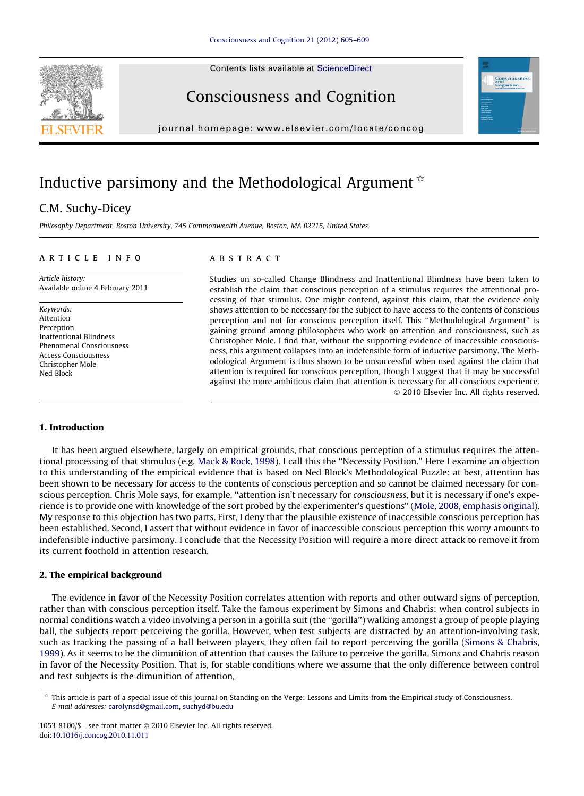Contents lists available at [ScienceDirect](http://www.sciencedirect.com/science/journal/10538100)





Consciousness and Cognition

journal homepage: [www.elsevier.com/locate/concog](http://www.elsevier.com/locate/concog)

# Inductive parsimony and the Methodological Argument  $\dot{\alpha}$

# C.M. Suchy-Dicey

Philosophy Department, Boston University, 745 Commonwealth Avenue, Boston, MA 02215, United States

#### article info

Article history: Available online 4 February 2011

Keywords: Attention Perception Inattentional Blindness Phenomenal Consciousness Access Consciousness Christopher Mole Ned Block

#### **ARSTRACT**

Studies on so-called Change Blindness and Inattentional Blindness have been taken to establish the claim that conscious perception of a stimulus requires the attentional processing of that stimulus. One might contend, against this claim, that the evidence only shows attention to be necessary for the subject to have access to the contents of conscious perception and not for conscious perception itself. This ''Methodological Argument'' is gaining ground among philosophers who work on attention and consciousness, such as Christopher Mole. I find that, without the supporting evidence of inaccessible consciousness, this argument collapses into an indefensible form of inductive parsimony. The Methodological Argument is thus shown to be unsuccessful when used against the claim that attention is required for conscious perception, though I suggest that it may be successful against the more ambitious claim that attention is necessary for all conscious experience. - 2010 Elsevier Inc. All rights reserved.

### 1. Introduction

It has been argued elsewhere, largely on empirical grounds, that conscious perception of a stimulus requires the attentional processing of that stimulus (e.g. [Mack & Rock, 1998\)](#page-4-0). I call this the ''Necessity Position.'' Here I examine an objection to this understanding of the empirical evidence that is based on Ned Block's Methodological Puzzle: at best, attention has been shown to be necessary for access to the contents of conscious perception and so cannot be claimed necessary for conscious perception. Chris Mole says, for example, "attention isn't necessary for consciousness, but it is necessary if one's experience is to provide one with knowledge of the sort probed by the experimenter's questions'' [\(Mole, 2008, emphasis original](#page-4-0)). My response to this objection has two parts. First, I deny that the plausible existence of inaccessible conscious perception has been established. Second, I assert that without evidence in favor of inaccessible conscious perception this worry amounts to indefensible inductive parsimony. I conclude that the Necessity Position will require a more direct attack to remove it from its current foothold in attention research.

#### 2. The empirical background

The evidence in favor of the Necessity Position correlates attention with reports and other outward signs of perception, rather than with conscious perception itself. Take the famous experiment by Simons and Chabris: when control subjects in normal conditions watch a video involving a person in a gorilla suit (the ''gorilla'') walking amongst a group of people playing ball, the subjects report perceiving the gorilla. However, when test subjects are distracted by an attention-involving task, such as tracking the passing of a ball between players, they often fail to report perceiving the gorilla ([Simons & Chabris,](#page-4-0) [1999\)](#page-4-0). As it seems to be the dimunition of attention that causes the failure to perceive the gorilla, Simons and Chabris reason in favor of the Necessity Position. That is, for stable conditions where we assume that the only difference between control and test subjects is the dimunition of attention,

 $*$  This article is part of a special issue of this journal on Standing on the Verge: Lessons and Limits from the Empirical study of Consciousness. E-mail addresses: [carolynsd@gmail.com,](mailto:carolynsd@gmail.com) [suchyd@bu.edu](mailto:suchyd@bu.edu)

<sup>1053-8100/\$ -</sup> see front matter © 2010 Elsevier Inc. All rights reserved. doi:[10.1016/j.concog.2010.11.011](http://dx.doi.org/10.1016/j.concog.2010.11.011)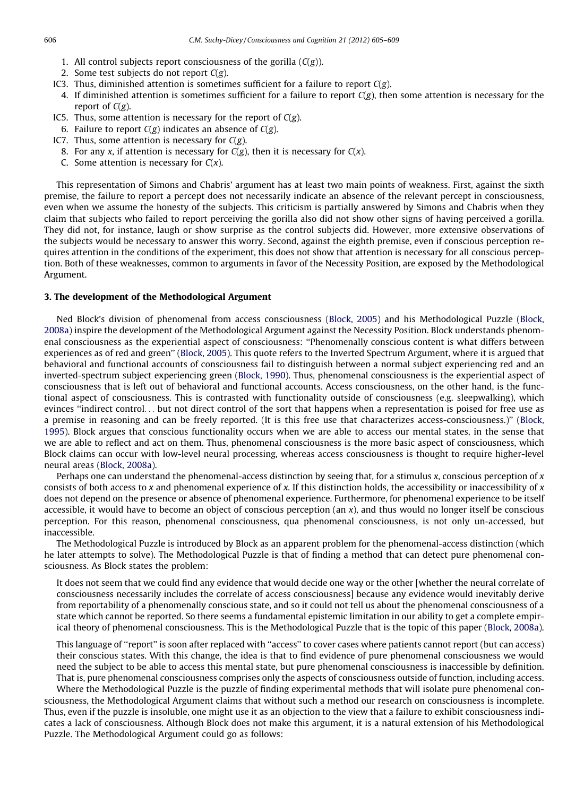- 1. All control subjects report consciousness of the gorilla  $(C(g))$ .
- 2. Some test subjects do not report  $C(g)$ .
- IC3. Thus, diminished attention is sometimes sufficient for a failure to report  $C(g)$ .
- 4. If diminished attention is sometimes sufficient for a failure to report  $C(g)$ , then some attention is necessary for the report of  $C(g)$ .
- IC5. Thus, some attention is necessary for the report of  $C(g)$ .
- 6. Failure to report  $C(g)$  indicates an absence of  $C(g)$ .
- IC7. Thus, some attention is necessary for  $C(g)$ .
	- 8. For any x, if attention is necessary for  $C(g)$ , then it is necessary for  $C(x)$ .
	- C. Some attention is necessary for  $C(x)$ .

This representation of Simons and Chabris' argument has at least two main points of weakness. First, against the sixth premise, the failure to report a percept does not necessarily indicate an absence of the relevant percept in consciousness, even when we assume the honesty of the subjects. This criticism is partially answered by Simons and Chabris when they claim that subjects who failed to report perceiving the gorilla also did not show other signs of having perceived a gorilla. They did not, for instance, laugh or show surprise as the control subjects did. However, more extensive observations of the subjects would be necessary to answer this worry. Second, against the eighth premise, even if conscious perception requires attention in the conditions of the experiment, this does not show that attention is necessary for all conscious perception. Both of these weaknesses, common to arguments in favor of the Necessity Position, are exposed by the Methodological Argument.

#### 3. The development of the Methodological Argument

Ned Block's division of phenomenal from access consciousness ([Block, 2005\)](#page-4-0) and his Methodological Puzzle [\(Block,](#page-4-0) [2008a](#page-4-0)) inspire the development of the Methodological Argument against the Necessity Position. Block understands phenomenal consciousness as the experiential aspect of consciousness: ''Phenomenally conscious content is what differs between experiences as of red and green'' [\(Block, 2005\)](#page-4-0). This quote refers to the Inverted Spectrum Argument, where it is argued that behavioral and functional accounts of consciousness fail to distinguish between a normal subject experiencing red and an inverted-spectrum subject experiencing green [\(Block, 1990](#page-4-0)). Thus, phenomenal consciousness is the experiential aspect of consciousness that is left out of behavioral and functional accounts. Access consciousness, on the other hand, is the functional aspect of consciousness. This is contrasted with functionality outside of consciousness (e.g. sleepwalking), which evinces ''indirect control... but not direct control of the sort that happens when a representation is poised for free use as a premise in reasoning and can be freely reported. (It is this free use that characterizes access-consciousness.)'' [\(Block,](#page-4-0) [1995](#page-4-0)). Block argues that conscious functionality occurs when we are able to access our mental states, in the sense that we are able to reflect and act on them. Thus, phenomenal consciousness is the more basic aspect of consciousness, which Block claims can occur with low-level neural processing, whereas access consciousness is thought to require higher-level neural areas [\(Block, 2008a\)](#page-4-0).

Perhaps one can understand the phenomenal-access distinction by seeing that, for a stimulus  $x$ , conscious perception of  $x$ consists of both access to x and phenomenal experience of x. If this distinction holds, the accessibility or inaccessibility of x does not depend on the presence or absence of phenomenal experience. Furthermore, for phenomenal experience to be itself accessible, it would have to become an object of conscious perception (an x), and thus would no longer itself be conscious perception. For this reason, phenomenal consciousness, qua phenomenal consciousness, is not only un-accessed, but inaccessible.

The Methodological Puzzle is introduced by Block as an apparent problem for the phenomenal-access distinction (which he later attempts to solve). The Methodological Puzzle is that of finding a method that can detect pure phenomenal consciousness. As Block states the problem:

It does not seem that we could find any evidence that would decide one way or the other [whether the neural correlate of consciousness necessarily includes the correlate of access consciousness] because any evidence would inevitably derive from reportability of a phenomenally conscious state, and so it could not tell us about the phenomenal consciousness of a state which cannot be reported. So there seems a fundamental epistemic limitation in our ability to get a complete empirical theory of phenomenal consciousness. This is the Methodological Puzzle that is the topic of this paper ([Block, 2008a](#page-4-0)).

This language of ''report'' is soon after replaced with ''access'' to cover cases where patients cannot report (but can access) their conscious states. With this change, the idea is that to find evidence of pure phenomenal consciousness we would need the subject to be able to access this mental state, but pure phenomenal consciousness is inaccessible by definition. That is, pure phenomenal consciousness comprises only the aspects of consciousness outside of function, including access.

Where the Methodological Puzzle is the puzzle of finding experimental methods that will isolate pure phenomenal consciousness, the Methodological Argument claims that without such a method our research on consciousness is incomplete. Thus, even if the puzzle is insoluble, one might use it as an objection to the view that a failure to exhibit consciousness indicates a lack of consciousness. Although Block does not make this argument, it is a natural extension of his Methodological Puzzle. The Methodological Argument could go as follows: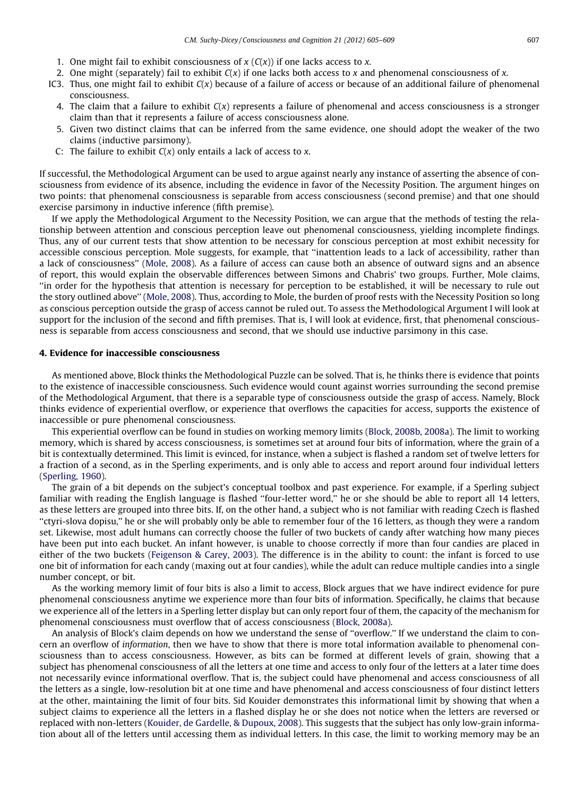- 1. One might fail to exhibit consciousness of  $x$  ( $C(x)$ ) if one lacks access to x.
- 2. One might (separately) fail to exhibit  $C(x)$  if one lacks both access to x and phenomenal consciousness of x.
- IC3. Thus, one might fail to exhibit  $C(x)$  because of a failure of access or because of an additional failure of phenomenal consciousness.
	- 4. The claim that a failure to exhibit  $C(x)$  represents a failure of phenomenal and access consciousness is a stronger claim than that it represents a failure of access consciousness alone.
	- 5. Given two distinct claims that can be inferred from the same evidence, one should adopt the weaker of the two claims (inductive parsimony).
	- C: The failure to exhibit  $C(x)$  only entails a lack of access to x.

If successful, the Methodological Argument can be used to argue against nearly any instance of asserting the absence of consciousness from evidence of its absence, including the evidence in favor of the Necessity Position. The argument hinges on two points: that phenomenal consciousness is separable from access consciousness (second premise) and that one should exercise parsimony in inductive inference (fifth premise).

If we apply the Methodological Argument to the Necessity Position, we can argue that the methods of testing the relationship between attention and conscious perception leave out phenomenal consciousness, yielding incomplete findings. Thus, any of our current tests that show attention to be necessary for conscious perception at most exhibit necessity for accessible conscious perception. Mole suggests, for example, that ''inattention leads to a lack of accessibility, rather than a lack of consciousness'' ([Mole, 2008](#page-4-0)). As a failure of access can cause both an absence of outward signs and an absence of report, this would explain the observable differences between Simons and Chabris' two groups. Further, Mole claims, ''in order for the hypothesis that attention is necessary for perception to be established, it will be necessary to rule out the story outlined above'' ([Mole, 2008](#page-4-0)). Thus, according to Mole, the burden of proof rests with the Necessity Position so long as conscious perception outside the grasp of access cannot be ruled out. To assess the Methodological Argument I will look at support for the inclusion of the second and fifth premises. That is, I will look at evidence, first, that phenomenal consciousness is separable from access consciousness and second, that we should use inductive parsimony in this case.

#### 4. Evidence for inaccessible consciousness

As mentioned above, Block thinks the Methodological Puzzle can be solved. That is, he thinks there is evidence that points to the existence of inaccessible consciousness. Such evidence would count against worries surrounding the second premise of the Methodological Argument, that there is a separable type of consciousness outside the grasp of access. Namely, Block thinks evidence of experiential overflow, or experience that overflows the capacities for access, supports the existence of inaccessible or pure phenomenal consciousness.

This experiential overflow can be found in studies on working memory limits ([Block, 2008b, 2008a\)](#page-4-0). The limit to working memory, which is shared by access consciousness, is sometimes set at around four bits of information, where the grain of a bit is contextually determined. This limit is evinced, for instance, when a subject is flashed a random set of twelve letters for a fraction of a second, as in the Sperling experiments, and is only able to access and report around four individual letters ([Sperling, 1960](#page-4-0)).

The grain of a bit depends on the subject's conceptual toolbox and past experience. For example, if a Sperling subject familiar with reading the English language is flashed ''four-letter word,'' he or she should be able to report all 14 letters, as these letters are grouped into three bits. If, on the other hand, a subject who is not familiar with reading Czech is flashed ''ctyri-slova dopisu,'' he or she will probably only be able to remember four of the 16 letters, as though they were a random set. Likewise, most adult humans can correctly choose the fuller of two buckets of candy after watching how many pieces have been put into each bucket. An infant however, is unable to choose correctly if more than four candies are placed in either of the two buckets [\(Feigenson & Carey, 2003](#page-4-0)). The difference is in the ability to count: the infant is forced to use one bit of information for each candy (maxing out at four candies), while the adult can reduce multiple candies into a single number concept, or bit.

As the working memory limit of four bits is also a limit to access, Block argues that we have indirect evidence for pure phenomenal consciousness anytime we experience more than four bits of information. Specifically, he claims that because we experience all of the letters in a Sperling letter display but can only report four of them, the capacity of the mechanism for phenomenal consciousness must overflow that of access consciousness [\(Block, 2008a](#page-4-0)).

An analysis of Block's claim depends on how we understand the sense of ''overflow.'' If we understand the claim to concern an overflow of information, then we have to show that there is more total information available to phenomenal consciousness than to access consciousness. However, as bits can be formed at different levels of grain, showing that a subject has phenomenal consciousness of all the letters at one time and access to only four of the letters at a later time does not necessarily evince informational overflow. That is, the subject could have phenomenal and access consciousness of all the letters as a single, low-resolution bit at one time and have phenomenal and access consciousness of four distinct letters at the other, maintaining the limit of four bits. Sid Kouider demonstrates this informational limit by showing that when a subject claims to experience all the letters in a flashed display he or she does not notice when the letters are reversed or replaced with non-letters ([Kouider, de Gardelle, & Dupoux, 2008](#page-4-0)). This suggests that the subject has only low-grain information about all of the letters until accessing them as individual letters. In this case, the limit to working memory may be an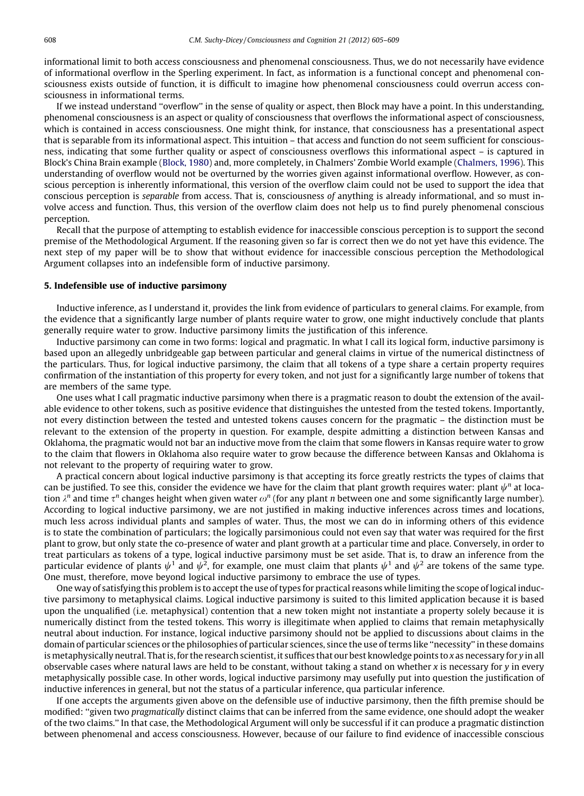informational limit to both access consciousness and phenomenal consciousness. Thus, we do not necessarily have evidence of informational overflow in the Sperling experiment. In fact, as information is a functional concept and phenomenal consciousness exists outside of function, it is difficult to imagine how phenomenal consciousness could overrun access consciousness in informational terms.

If we instead understand ''overflow'' in the sense of quality or aspect, then Block may have a point. In this understanding, phenomenal consciousness is an aspect or quality of consciousness that overflows the informational aspect of consciousness, which is contained in access consciousness. One might think, for instance, that consciousness has a presentational aspect that is separable from its informational aspect. This intuition – that access and function do not seem sufficient for consciousness, indicating that some further quality or aspect of consciousness overflows this informational aspect – is captured in Block's China Brain example ([Block, 1980\)](#page-4-0) and, more completely, in Chalmers' Zombie World example ([Chalmers, 1996\)](#page-4-0). This understanding of overflow would not be overturned by the worries given against informational overflow. However, as conscious perception is inherently informational, this version of the overflow claim could not be used to support the idea that conscious perception is separable from access. That is, consciousness of anything is already informational, and so must involve access and function. Thus, this version of the overflow claim does not help us to find purely phenomenal conscious perception.

Recall that the purpose of attempting to establish evidence for inaccessible conscious perception is to support the second premise of the Methodological Argument. If the reasoning given so far is correct then we do not yet have this evidence. The next step of my paper will be to show that without evidence for inaccessible conscious perception the Methodological Argument collapses into an indefensible form of inductive parsimony.

#### 5. Indefensible use of inductive parsimony

Inductive inference, as I understand it, provides the link from evidence of particulars to general claims. For example, from the evidence that a significantly large number of plants require water to grow, one might inductively conclude that plants generally require water to grow. Inductive parsimony limits the justification of this inference.

Inductive parsimony can come in two forms: logical and pragmatic. In what I call its logical form, inductive parsimony is based upon an allegedly unbridgeable gap between particular and general claims in virtue of the numerical distinctness of the particulars. Thus, for logical inductive parsimony, the claim that all tokens of a type share a certain property requires confirmation of the instantiation of this property for every token, and not just for a significantly large number of tokens that are members of the same type.

One uses what I call pragmatic inductive parsimony when there is a pragmatic reason to doubt the extension of the available evidence to other tokens, such as positive evidence that distinguishes the untested from the tested tokens. Importantly, not every distinction between the tested and untested tokens causes concern for the pragmatic – the distinction must be relevant to the extension of the property in question. For example, despite admitting a distinction between Kansas and Oklahoma, the pragmatic would not bar an inductive move from the claim that some flowers in Kansas require water to grow to the claim that flowers in Oklahoma also require water to grow because the difference between Kansas and Oklahoma is not relevant to the property of requiring water to grow.

A practical concern about logical inductive parsimony is that accepting its force greatly restricts the types of claims that can be justified. To see this, consider the evidence we have for the claim that plant growth requires water: plant  $\psi^n$  at location  $\lambda^n$  and time  $\tau^n$  changes height when given water  $\omega^n$  (for any plant n between one and some significantly large number). According to logical inductive parsimony, we are not justified in making inductive inferences across times and locations, much less across individual plants and samples of water. Thus, the most we can do in informing others of this evidence is to state the combination of particulars; the logically parsimonious could not even say that water was required for the first plant to grow, but only state the co-presence of water and plant growth at a particular time and place. Conversely, in order to treat particulars as tokens of a type, logical inductive parsimony must be set aside. That is, to draw an inference from the particular evidence of plants  $\psi^1$  and  $\psi^2$ , for example, one must claim that plants  $\psi^1$  and  $\psi^2$  are tokens of the same type. One must, therefore, move beyond logical inductive parsimony to embrace the use of types.

One way of satisfying this problem is to accept the use of types for practical reasons while limiting the scope of logical inductive parsimony to metaphysical claims. Logical inductive parsimony is suited to this limited application because it is based upon the unqualified (i.e. metaphysical) contention that a new token might not instantiate a property solely because it is numerically distinct from the tested tokens. This worry is illegitimate when applied to claims that remain metaphysically neutral about induction. For instance, logical inductive parsimony should not be applied to discussions about claims in the domain of particular sciences or the philosophies of particular sciences, since the use of terms like ''necessity'' in these domains is metaphysically neutral. That is, for the research scientist, it suffices that our best knowledge points to x as necessary for y in all observable cases where natural laws are held to be constant, without taking a stand on whether  $x$  is necessary for  $y$  in every metaphysically possible case. In other words, logical inductive parsimony may usefully put into question the justification of inductive inferences in general, but not the status of a particular inference, qua particular inference.

If one accepts the arguments given above on the defensible use of inductive parsimony, then the fifth premise should be modified: ''given two pragmatically distinct claims that can be inferred from the same evidence, one should adopt the weaker of the two claims.'' In that case, the Methodological Argument will only be successful if it can produce a pragmatic distinction between phenomenal and access consciousness. However, because of our failure to find evidence of inaccessible conscious